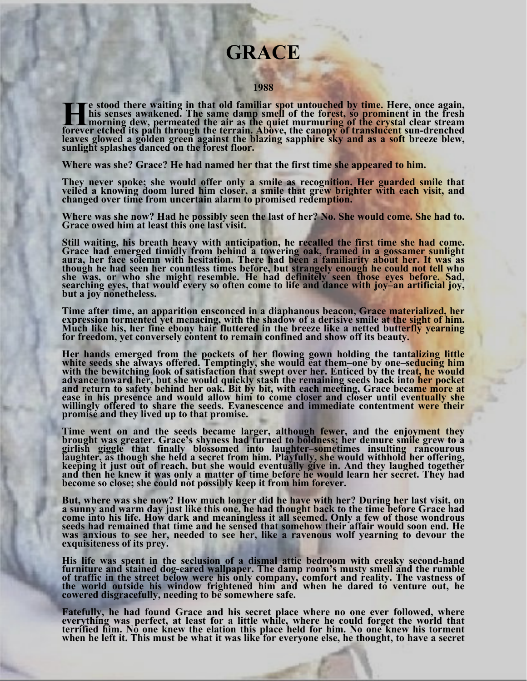## **GRACE**

## **1988**

This senses awakened. The same damp smell of the forest, so prominent in the fresh<br>his senses awakened. The same damp smell of the forest, so prominent in the fresh<br>forever etched its path through the terrain. Above, the c

**Where was she? Grace? He had named her that the first time she appeared to him.** 

They never spoke; she would offer only a smile as recognition. Her guarded smile that veiled a knowing doom lured him closer, a smile that grew brighter with each visit, and changed over time from uncertain alarm to promis

**Where was she now? Had he possibly seen the last of her? No. She would come. She had to. Grace owed him at least this one last visit.** 

Still waiting, his breath heavy with anticipation, he recalled the first time she had come. **Still waiting, his breath heavy with anticipation, he recalled the first time she had come. Grace had emerged timidly from behind a towering oak, framed in a gossamer sunlight**  aura, her face solemn with hesitation. There had been a familiarity about her. It was as<br>though he had seen her countless times before, but strangely enough he could not tell who<br>she was, or who she might resemble. He had

Time after time, an apparition ensconced in a diaphanous beacon, Grace materialized, her expression tormented yet menacing, with the shadow of a derisive smile at the sight of him.<br>Much like his, her fine ebony hair flutte

Her hands emerged from the pockets of her flowing gown holding the tantalizing little<br>white seeds she always offered. Temptingly, she would eat them-one by one-seducing him<br>with the bewitching look of satisfaction that swe **ease in his presence and would allow him to come closer and closer until eventually she willingly offered to share the seeds. Evanescence and immediate contentment were their promise and they lived up to that promise.** 

**Time went on and the seeds became larger, although fewer, and the enjoyment they**  brought was greater. Grace's shyness had turned to boldness; her demure smile grew to a<br>girlish giggle that finally blossomed into laughter-sometimes insulting rancourous<br>laughter, as though she held a secret from him. Pla

**But, where was she now? How much longer did he have with her? During her last visit, on a sunny and warm day just like this one, he had thought back to the time before Grace had come into his life. How dark and meaningless it all seemed. Only a few of those wondrous seeds had remained that time and he sensed that somehow their affair would soon end. He was anxious to see her, needed to see her, like a ravenous wolf yearning to devour the exquisiteness of its prey.** 

His life was spent in the seclusion of a dismal attic bedroom with creaky second-hand<br>furniture and stained dog-eared wallpaper. The damp room's musty smell and the rumble<br>of traffic in the street below were his only compa

**Fatefully, he had found Grace and his secret place where no one ever followed, where**  everything was perfect, at least for a little while, where he could forget the world that<br>terrified him. No one knew the elation this place held for him. No one knew his torment<br>when he left it. This must be what it was li